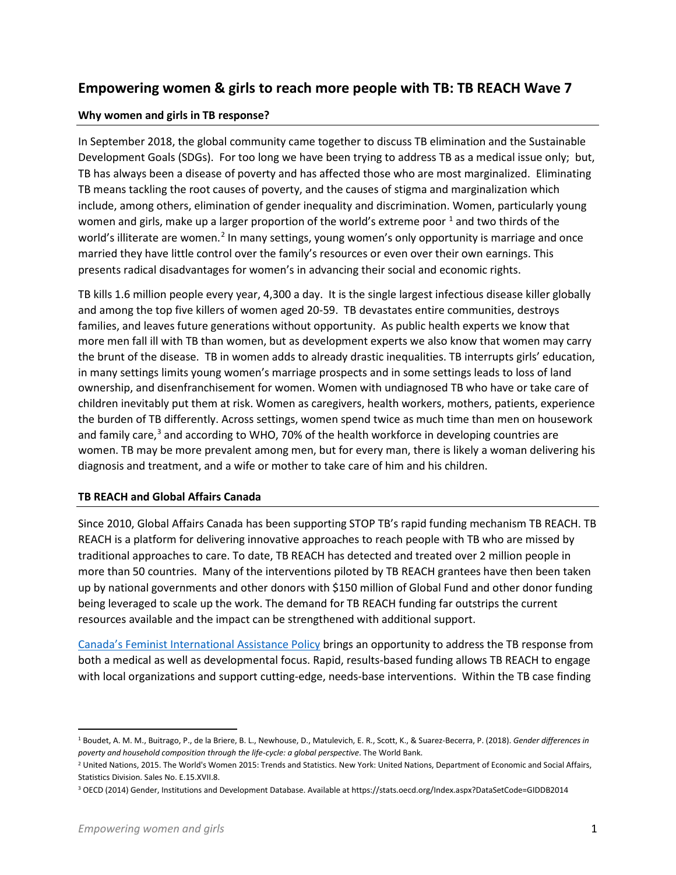# **Empowering women & girls to reach more people with TB: TB REACH Wave 7**

## **Why women and girls in TB response?**

In September 2018, the global community came together to discuss TB elimination and the Sustainable Development Goals (SDGs). For too long we have been trying to address TB as a medical issue only; but, TB has always been a disease of poverty and has affected those who are most marginalized. Eliminating TB means tackling the root causes of poverty, and the causes of stigma and marginalization which include, among others, elimination of gender inequality and discrimination. Women, particularly young women and girls, make up a larger proportion of the world's extreme poor  $1$  and two thirds of the world's illiterate are women.<sup>[2](#page-0-1)</sup> In many settings, young women's only opportunity is marriage and once married they have little control over the family's resources or even over their own earnings. This presents radical disadvantages for women's in advancing their social and economic rights.

TB kills 1.6 million people every year, 4,300 a day. It is the single largest infectious disease killer globally and among the top five killers of women aged 20-59. TB devastates entire communities, destroys families, and leaves future generations without opportunity. As public health experts we know that more men fall ill with TB than women, but as development experts we also know that women may carry the brunt of the disease. TB in women adds to already drastic inequalities. TB interrupts girls' education, in many settings limits young women's marriage prospects and in some settings leads to loss of land ownership, and disenfranchisement for women. Women with undiagnosed TB who have or take care of children inevitably put them at risk. Women as caregivers, health workers, mothers, patients, experience the burden of TB differently. Across settings, women spend twice as much time than men on housework and family care, $3$  and according to WHO, 70% of the health workforce in developing countries are women. TB may be more prevalent among men, but for every man, there is likely a woman delivering his diagnosis and treatment, and a wife or mother to take care of him and his children.

## **TB REACH and Global Affairs Canada**

Since 2010, Global Affairs Canada has been supporting STOP TB's rapid funding mechanism TB REACH. TB REACH is a platform for delivering innovative approaches to reach people with TB who are missed by traditional approaches to care. To date, TB REACH has detected and treated over 2 million people in more than 50 countries. Many of the interventions piloted by TB REACH grantees have then been taken up by national governments and other donors with \$150 million of Global Fund and other donor funding being leveraged to scale up the work. The demand for TB REACH funding far outstrips the current resources available and the impact can be strengthened with additional support.

[Canada's Feminist International Assistance Policy](https://international.gc.ca/world-monde/issues_development-enjeux_developpement/priorities-priorites/policy-politique.aspx?lang=eng) brings an opportunity to address the TB response from both a medical as well as developmental focus. Rapid, results-based funding allows TB REACH to engage with local organizations and support cutting-edge, needs-base interventions. Within the TB case finding

<span id="page-0-0"></span> <sup>1</sup> Boudet, A. M. M., Buitrago, P., de la Briere, B. L., Newhouse, D., Matulevich, E. R., Scott, K., & Suarez-Becerra, P. (2018). *Gender differences in poverty and household composition through the life-cycle: a global perspective*. The World Bank.

<span id="page-0-1"></span><sup>&</sup>lt;sup>2</sup> United Nations, 2015. The World's Women 2015: Trends and Statistics. New York: United Nations, Department of Economic and Social Affairs, Statistics Division. Sales No. E.15.XVII.8.

<span id="page-0-2"></span><sup>3</sup> OECD (2014) Gender, Institutions and Development Database. Available at https://stats.oecd.org/Index.aspx?DataSetCode=GIDDB2014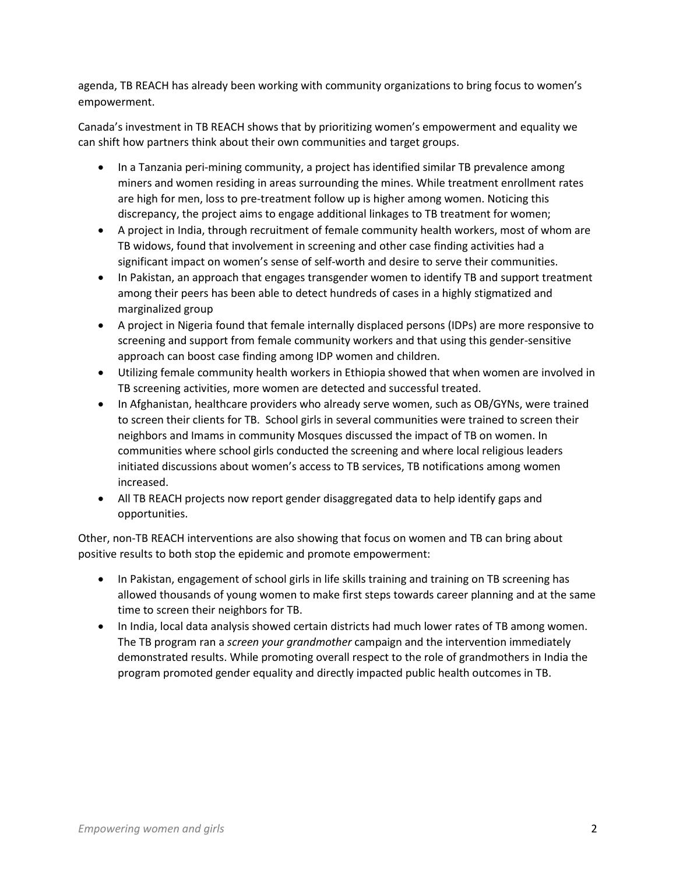agenda, TB REACH has already been working with community organizations to bring focus to women's empowerment.

Canada's investment in TB REACH shows that by prioritizing women's empowerment and equality we can shift how partners think about their own communities and target groups.

- In a Tanzania peri-mining community, a project has identified similar TB prevalence among miners and women residing in areas surrounding the mines. While treatment enrollment rates are high for men, loss to pre-treatment follow up is higher among women. Noticing this discrepancy, the project aims to engage additional linkages to TB treatment for women;
- A project in India, through recruitment of female community health workers, most of whom are TB widows, found that involvement in screening and other case finding activities had a significant impact on women's sense of self-worth and desire to serve their communities.
- In Pakistan, an approach that engages transgender women to identify TB and support treatment among their peers has been able to detect hundreds of cases in a highly stigmatized and marginalized group
- A project in Nigeria found that female internally displaced persons (IDPs) are more responsive to screening and support from female community workers and that using this gender-sensitive approach can boost case finding among IDP women and children.
- Utilizing female community health workers in Ethiopia showed that when women are involved in TB screening activities, more women are detected and successful treated.
- In Afghanistan, healthcare providers who already serve women, such as OB/GYNs, were trained to screen their clients for TB. School girls in several communities were trained to screen their neighbors and Imams in community Mosques discussed the impact of TB on women. In communities where school girls conducted the screening and where local religious leaders initiated discussions about women's access to TB services, TB notifications among women increased.
- All TB REACH projects now report gender disaggregated data to help identify gaps and opportunities.

Other, non-TB REACH interventions are also showing that focus on women and TB can bring about positive results to both stop the epidemic and promote empowerment:

- In Pakistan, engagement of school girls in life skills training and training on TB screening has allowed thousands of young women to make first steps towards career planning and at the same time to screen their neighbors for TB.
- In India, local data analysis showed certain districts had much lower rates of TB among women. The TB program ran a *screen your grandmother* campaign and the intervention immediately demonstrated results. While promoting overall respect to the role of grandmothers in India the program promoted gender equality and directly impacted public health outcomes in TB.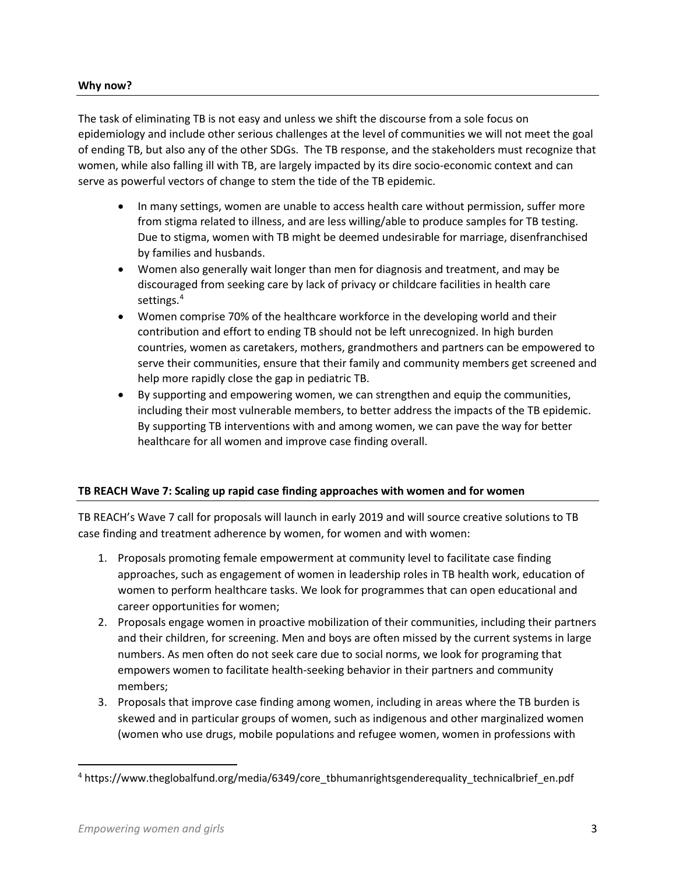## **Why now?**

The task of eliminating TB is not easy and unless we shift the discourse from a sole focus on epidemiology and include other serious challenges at the level of communities we will not meet the goal of ending TB, but also any of the other SDGs. The TB response, and the stakeholders must recognize that women, while also falling ill with TB, are largely impacted by its dire socio-economic context and can serve as powerful vectors of change to stem the tide of the TB epidemic.

- In many settings, women are unable to access health care without permission, suffer more from stigma related to illness, and are less willing/able to produce samples for TB testing. Due to stigma, women with TB might be deemed undesirable for marriage, disenfranchised by families and husbands.
- Women also generally wait longer than men for diagnosis and treatment, and may be discouraged from seeking care by lack of privacy or childcare facilities in health care settings.<sup>[4](#page-2-0)</sup>
- Women comprise 70% of the healthcare workforce in the developing world and their contribution and effort to ending TB should not be left unrecognized. In high burden countries, women as caretakers, mothers, grandmothers and partners can be empowered to serve their communities, ensure that their family and community members get screened and help more rapidly close the gap in pediatric TB.
- By supporting and empowering women, we can strengthen and equip the communities, including their most vulnerable members, to better address the impacts of the TB epidemic. By supporting TB interventions with and among women, we can pave the way for better healthcare for all women and improve case finding overall.

#### **TB REACH Wave 7: Scaling up rapid case finding approaches with women and for women**

TB REACH's Wave 7 call for proposals will launch in early 2019 and will source creative solutions to TB case finding and treatment adherence by women, for women and with women:

- 1. Proposals promoting female empowerment at community level to facilitate case finding approaches, such as engagement of women in leadership roles in TB health work, education of women to perform healthcare tasks. We look for programmes that can open educational and career opportunities for women;
- 2. Proposals engage women in proactive mobilization of their communities, including their partners and their children, for screening. Men and boys are often missed by the current systems in large numbers. As men often do not seek care due to social norms, we look for programing that empowers women to facilitate health-seeking behavior in their partners and community members;
- 3. Proposals that improve case finding among women, including in areas where the TB burden is skewed and in particular groups of women, such as indigenous and other marginalized women (women who use drugs, mobile populations and refugee women, women in professions with

<span id="page-2-0"></span> <sup>4</sup> https://www.theglobalfund.org/media/6349/core\_tbhumanrightsgenderequality\_technicalbrief\_en.pdf